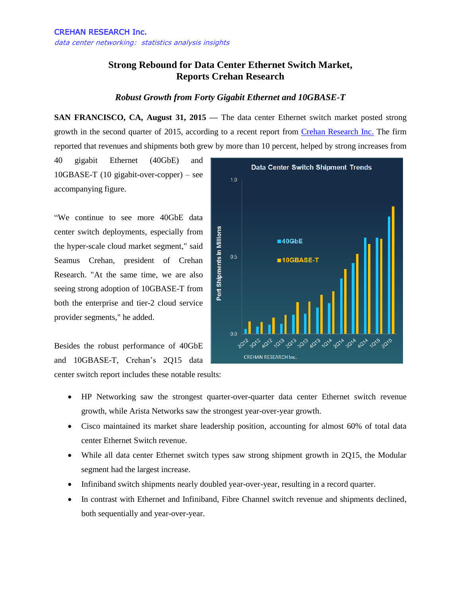## **Strong Rebound for Data Center Ethernet Switch Market, Reports Crehan Research**

## *Robust Growth from Forty Gigabit Ethernet and 10GBASE-T*

**SAN FRANCISCO, CA, August 31, 2015 —** The data center Ethernet switch market posted strong growth in the second quarter of 2015, according to a recent report from [Crehan Research Inc.](http://www.crehanresearch.com/) The firm reported that revenues and shipments both grew by more than 10 percent, helped by strong increases from

40 gigabit Ethernet (40GbE) and 10GBASE-T (10 gigabit-over-copper) – see accompanying figure.

"We continue to see more 40GbE data center switch deployments, especially from the hyper-scale cloud market segment," said Seamus Crehan, president of Crehan Research. "At the same time, we are also seeing strong adoption of 10GBASE-T from both the enterprise and tier-2 cloud service provider segments," he added.

Besides the robust performance of 40GbE and 10GBASE-T, Crehan's 2Q15 data center switch report includes these notable results:



- HP Networking saw the strongest quarter-over-quarter data center Ethernet switch revenue growth, while Arista Networks saw the strongest year-over-year growth.
- Cisco maintained its market share leadership position, accounting for almost 60% of total data center Ethernet Switch revenue.
- While all data center Ethernet switch types saw strong shipment growth in 2Q15, the Modular segment had the largest increase.
- Infiniband switch shipments nearly doubled year-over-year, resulting in a record quarter.
- In contrast with Ethernet and Infiniband, Fibre Channel switch revenue and shipments declined, both sequentially and year-over-year.